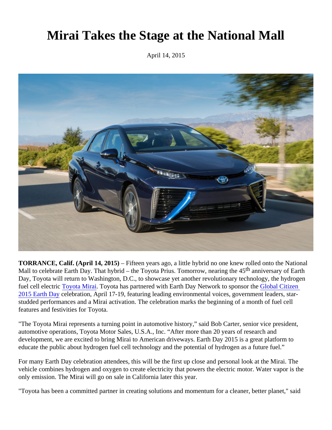## Mirai Takes the Stage at the National Mall

April 14, 2015

TORRANCE, Calif. (April 14, 2015) – Fifteen years ago, a little hybrid no one knew rolled onto the National Mall to celebrate Earth Day. That hybrid – the Toyota Prius. Tomorrow, nearing<sup>the 45</sup> the 15 arth Day, Toyota will return to Washington, D.C., to showcase yet another revolutionary technology, the hydrogen fuel cell electri[c Toyota Mirai.](http://www.toyota.com/mirai) Toyota has partnered with Earth Day Network to sponso the Global Citizen [2015 Earth Da](http://www.earthday.org/earth-day-national-mall-1)ycelebration, April 17-19, featuring leading environmental voices, government leaders, starstudded performances and a Mirai activation. The celebration marks the beginning of a month of fuel cell features and festivities for Toyota.

"The Toyota Mirai represents a turning point in automotive history," said Bob Carter, senior vice president, automotive operations, Toyota Motor Sales, U.S.A., Inc. "After more than 20 years of research and development, we are excited to bring Mirai to American driveways. Earth Day 2015 is a great platform to educate the public about hydrogen fuel cell technology and the potential of hydrogen as a future fuel."

For many Earth Day celebration attendees, this will be the first up close and personal look at the Mirai. The vehicle combines hydrogen and oxygen to create electricity that powers the electric motor. Water vapor is the only emission. The Mirai will go on sale in California later this year.

"Toyota has been a committed partner in creating solutions and momentum for a cleaner, better planet," said